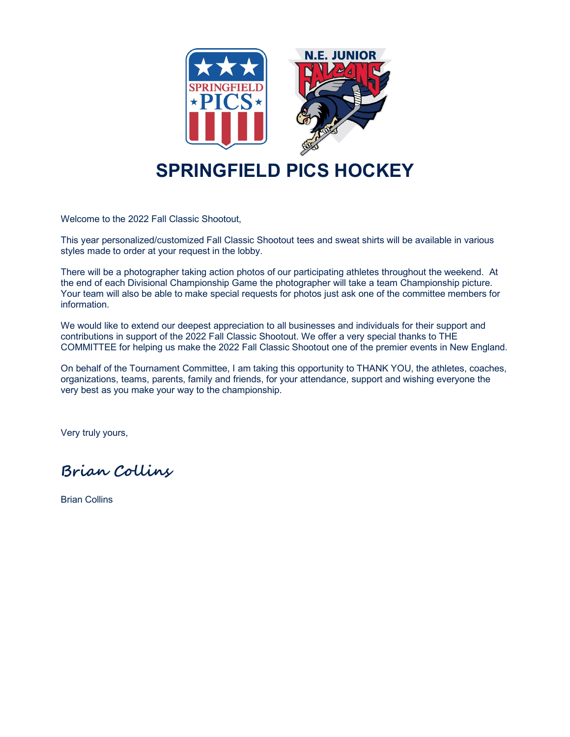

## **SPRINGFIELD PICS HOCKEY**

Welcome to the 2022 Fall Classic Shootout,

This year personalized/customized Fall Classic Shootout tees and sweat shirts will be available in various styles made to order at your request in the lobby.

There will be a photographer taking action photos of our participating athletes throughout the weekend. At the end of each Divisional Championship Game the photographer will take a team Championship picture. Your team will also be able to make special requests for photos just ask one of the committee members for information.

We would like to extend our deepest appreciation to all businesses and individuals for their support and contributions in support of the 2022 Fall Classic Shootout. We offer a very special thanks to THE COMMITTEE for helping us make the 2022 Fall Classic Shootout one of the premier events in New England.

On behalf of the Tournament Committee, I am taking this opportunity to THANK YOU, the athletes, coaches, organizations, teams, parents, family and friends, for your attendance, support and wishing everyone the very best as you make your way to the championship.

Very truly yours,

**Brian Collins**

Brian Collins